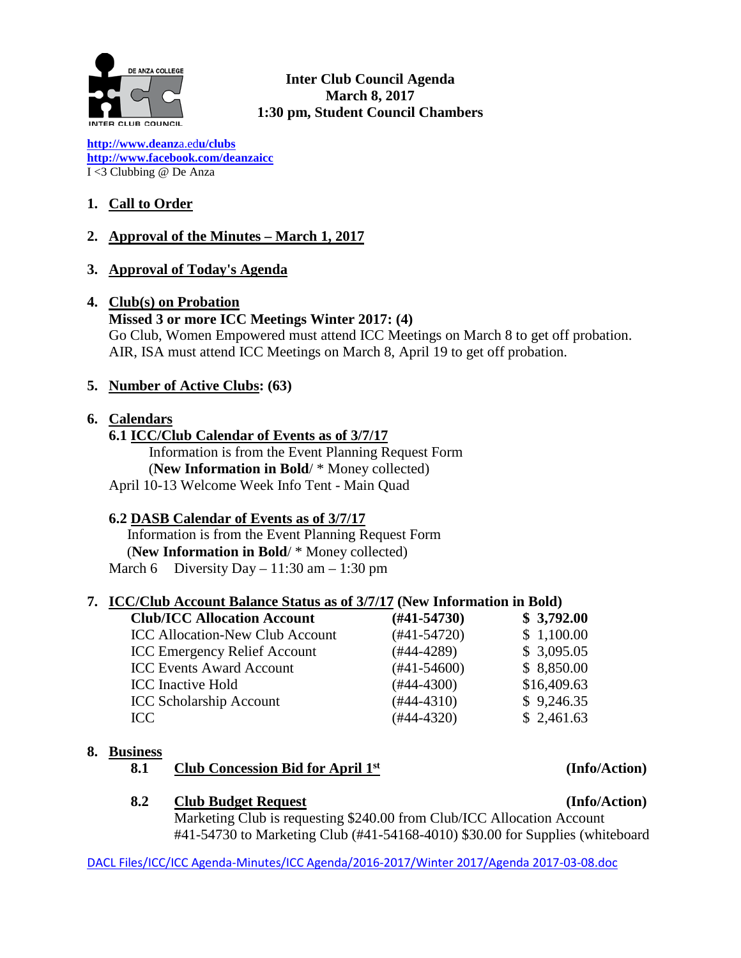

**Inter Club Council Agenda March 8, 2017 1:30 pm, Student Council Chambers**

**[http://www.deanz](http://www.deanza.edu/clubs)**[a.ed](http://www.deanza.edu/clubs)**[u/clubs](http://www.deanza.edu/clubs) [http://www.facebook.com/deanzaicc](http://www.facebook.com/home.php#!/group.php?gid=59034552686)** I <3 Clubbing @ De Anza

# **1. Call to Order**

# **2. Approval of the Minutes – March 1, 2017**

# **3. Approval of Today's Agenda**

#### **4. Club(s) on Probation**

#### **Missed 3 or more ICC Meetings Winter 2017: (4)**

Go Club, Women Empowered must attend ICC Meetings on March 8 to get off probation. AIR, ISA must attend ICC Meetings on March 8, April 19 to get off probation.

# **5. Number of Active Clubs: (63)**

#### **6. Calendars**

# **6.1 ICC/Club Calendar of Events as of 3/7/17**

 Information is from the Event Planning Request Form (**New Information in Bold**/ \* Money collected) April 10-13 Welcome Week Info Tent - Main Quad

# **6.2 DASB Calendar of Events as of 3/7/17**

Information is from the Event Planning Request Form (**New Information in Bold**/ \* Money collected) March 6 Diversity Day  $-11:30$  am  $-1:30$  pm

# **7. ICC/Club Account Balance Status as of 3/7/17 (New Information in Bold)**

| <b>Club/ICC Allocation Account</b>     | $(\#41 - 54730)$ | \$3,792.00  |
|----------------------------------------|------------------|-------------|
| <b>ICC Allocation-New Club Account</b> | $(#41-54720)$    | \$1,100.00  |
| <b>ICC Emergency Relief Account</b>    | $(#44-4289)$     | \$3,095.05  |
| <b>ICC Events Award Account</b>        | $(#41-54600)$    | \$8,850.00  |
| <b>ICC</b> Inactive Hold               | $(#44-4300)$     | \$16,409.63 |
| <b>ICC Scholarship Account</b>         | $(#44-4310)$     | \$9,246.35  |
| ICC                                    | $(#44-4320)$     | \$2,461.63  |

# **8. Business**

# **8.1 Club Concession Bid for April 1st (Info/Action)**

# **8.2 Club Budget Request (Info/Action)**

Marketing Club is requesting \$240.00 from Club/ICC Allocation Account #41-54730 to Marketing Club (#41-54168-4010) \$30.00 for Supplies (whiteboard

DACL Files/ICC/ICC Agenda-Minutes/ICC Agenda/2016-2017/Winter 2017/Agenda 2017-03-08.doc